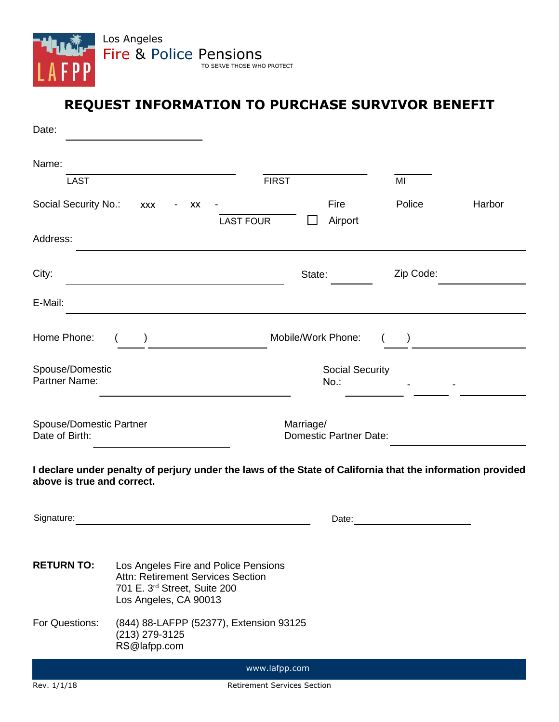

## **REQUEST INFORMATION TO PURCHASE SURVIVOR BENEFIT**

| Date:                                     |                                                                                                                                    |                             |                                            |           |        |
|-------------------------------------------|------------------------------------------------------------------------------------------------------------------------------------|-----------------------------|--------------------------------------------|-----------|--------|
| Name:                                     |                                                                                                                                    |                             |                                            |           |        |
| <b>LAST</b>                               |                                                                                                                                    | <b>FIRST</b>                |                                            |           |        |
| Social Security No.:                      | <b>XXX</b><br>XX<br>$\blacksquare$                                                                                                 | <b>LAST FOUR</b>            | Fire<br>Airport                            | Police    | Harbor |
| Address:                                  |                                                                                                                                    |                             |                                            |           |        |
| City:                                     |                                                                                                                                    |                             | State:                                     | Zip Code: |        |
| E-Mail:                                   |                                                                                                                                    |                             |                                            |           |        |
| Home Phone:                               |                                                                                                                                    |                             | Mobile/Work Phone:                         |           |        |
| Spouse/Domestic<br>Partner Name:          |                                                                                                                                    |                             | <b>Social Security</b><br>$No.$ :          |           |        |
| Spouse/Domestic Partner<br>Date of Birth: |                                                                                                                                    |                             | Marriage/<br><b>Domestic Partner Date:</b> |           |        |
| above is true and correct.                | I declare under penalty of perjury under the laws of the State of California that the information provided                         |                             |                                            |           |        |
| Signature:                                |                                                                                                                                    |                             | Date:                                      |           |        |
| <b>RETURN TO:</b>                         | Los Angeles Fire and Police Pensions<br>Attn: Retirement Services Section<br>701 E. 3rd Street, Suite 200<br>Los Angeles, CA 90013 |                             |                                            |           |        |
| For Questions:                            | (844) 88-LAFPP (52377), Extension 93125<br>(213) 279-3125<br>RS@lafpp.com                                                          |                             |                                            |           |        |
|                                           |                                                                                                                                    | www.lafpp.com               |                                            |           |        |
| Rev. 1/1/18                               |                                                                                                                                    | Retirement Services Section |                                            |           |        |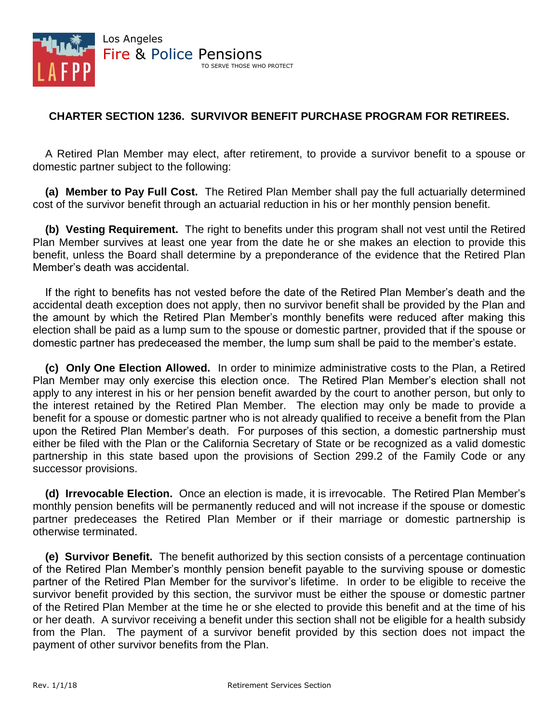

## **CHARTER SECTION 1236. SURVIVOR BENEFIT PURCHASE PROGRAM FOR RETIREES.**

A Retired Plan Member may elect, after retirement, to provide a survivor benefit to a spouse or domestic partner subject to the following:

**(a) Member to Pay Full Cost.** The Retired Plan Member shall pay the full actuarially determined cost of the survivor benefit through an actuarial reduction in his or her monthly pension benefit.

**(b) Vesting Requirement.** The right to benefits under this program shall not vest until the Retired Plan Member survives at least one year from the date he or she makes an election to provide this benefit, unless the Board shall determine by a preponderance of the evidence that the Retired Plan Member's death was accidental.

If the right to benefits has not vested before the date of the Retired Plan Member's death and the accidental death exception does not apply, then no survivor benefit shall be provided by the Plan and the amount by which the Retired Plan Member's monthly benefits were reduced after making this election shall be paid as a lump sum to the spouse or domestic partner, provided that if the spouse or domestic partner has predeceased the member, the lump sum shall be paid to the member's estate.

**(c) Only One Election Allowed.** In order to minimize administrative costs to the Plan, a Retired Plan Member may only exercise this election once. The Retired Plan Member's election shall not apply to any interest in his or her pension benefit awarded by the court to another person, but only to the interest retained by the Retired Plan Member. The election may only be made to provide a benefit for a spouse or domestic partner who is not already qualified to receive a benefit from the Plan upon the Retired Plan Member's death. For purposes of this section, a domestic partnership must either be filed with the Plan or the California Secretary of State or be recognized as a valid domestic partnership in this state based upon the provisions of Section 299.2 of the Family Code or any successor provisions.

**(d) Irrevocable Election.** Once an election is made, it is irrevocable. The Retired Plan Member's monthly pension benefits will be permanently reduced and will not increase if the spouse or domestic partner predeceases the Retired Plan Member or if their marriage or domestic partnership is otherwise terminated.

**(e) Survivor Benefit.** The benefit authorized by this section consists of a percentage continuation of the Retired Plan Member's monthly pension benefit payable to the surviving spouse or domestic partner of the Retired Plan Member for the survivor's lifetime. In order to be eligible to receive the survivor benefit provided by this section, the survivor must be either the spouse or domestic partner of the Retired Plan Member at the time he or she elected to provide this benefit and at the time of his or her death. A survivor receiving a benefit under this section shall not be eligible for a health subsidy from the Plan. The payment of a survivor benefit provided by this section does not impact the payment of other survivor benefits from the Plan.